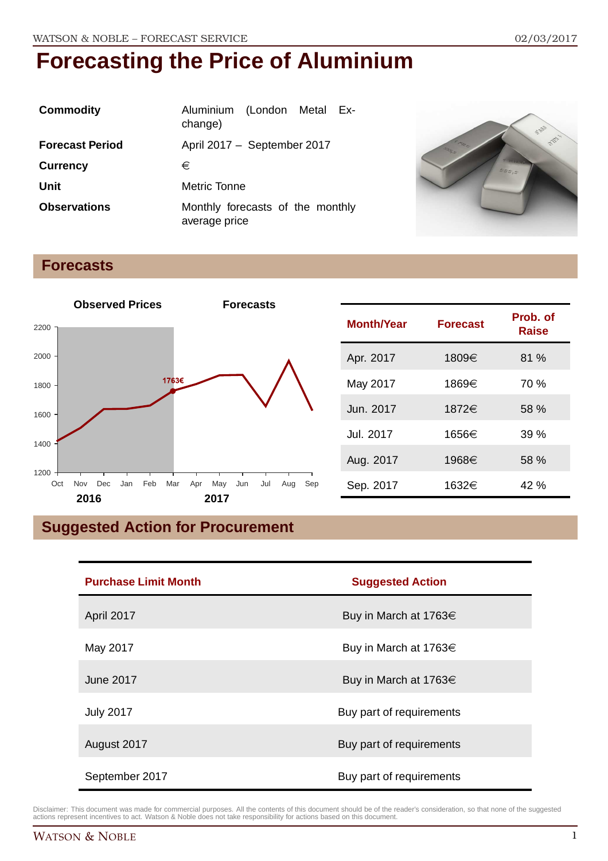| <b>Commodity</b>       | Aluminium (London Metal Ex-<br>change)            |  |
|------------------------|---------------------------------------------------|--|
| <b>Forecast Period</b> | April 2017 - September 2017                       |  |
| <b>Currency</b>        | €                                                 |  |
| Unit                   | Metric Tonne                                      |  |
| <b>Observations</b>    | Monthly forecasts of the monthly<br>average price |  |



#### **Forecasts**



| <b>Month/Year</b> | <b>Forecast</b> | Prob. of<br>Raise |
|-------------------|-----------------|-------------------|
| Apr. 2017         | 1809€           | 81%               |
| May 2017          | 1869€           | 70 %              |
| Jun. 2017         | 1872€           | 58 %              |
| Jul. 2017         | 1656€           | 39%               |
| Aug. 2017         | 1968€           | 58 %              |
| Sep. 2017         | 1632€           | 42 %              |

## **Suggested Action for Procurement**

| <b>Purchase Limit Month</b> | <b>Suggested Action</b>    |
|-----------------------------|----------------------------|
| April 2017                  | Buy in March at 1763€      |
| May 2017                    | Buy in March at 1763 $\in$ |
| June 2017                   | Buy in March at 1763 $\in$ |
| <b>July 2017</b>            | Buy part of requirements   |
| August 2017                 | Buy part of requirements   |
| September 2017              | Buy part of requirements   |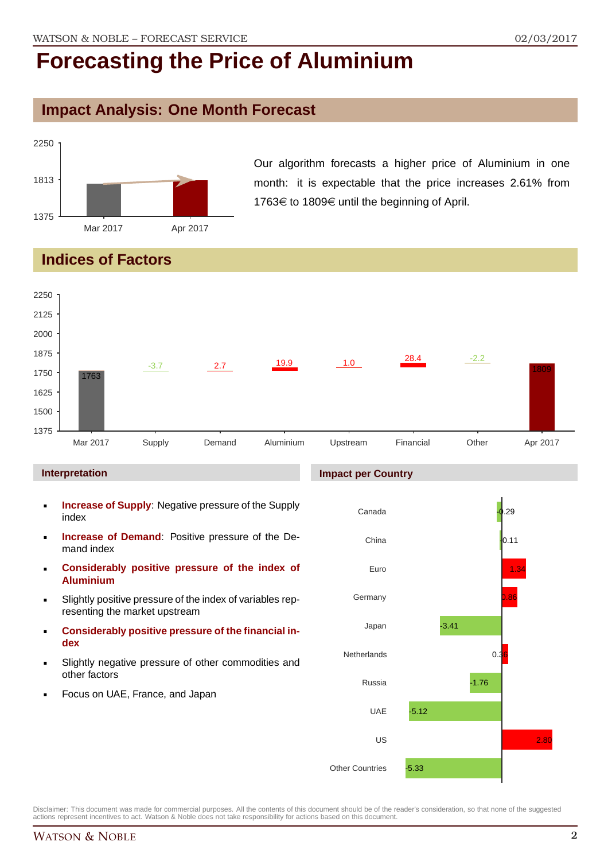#### **Impact Analysis: One Month Forecast**



Our algorithm forecasts a higher price of Aluminium in one month: it is expectable that the price increases 2.61% from 1763€ to 1809€ until the beginning of April.

#### **Indices of Factors**



#### **Interpretation**

- **Increase of Supply:** Negative pressure of the Supply index
- **Increase of Demand**: Positive pressure of the Demand index
- **Considerably positive pressure of the index of Aluminium**
- Slightly positive pressure of the index of variables representing the market upstream
- **Considerably positive pressure of the financial index**
- Slightly negative pressure of other commodities and other factors
- Focus on UAE, France, and Japan

#### **Impact per Country**

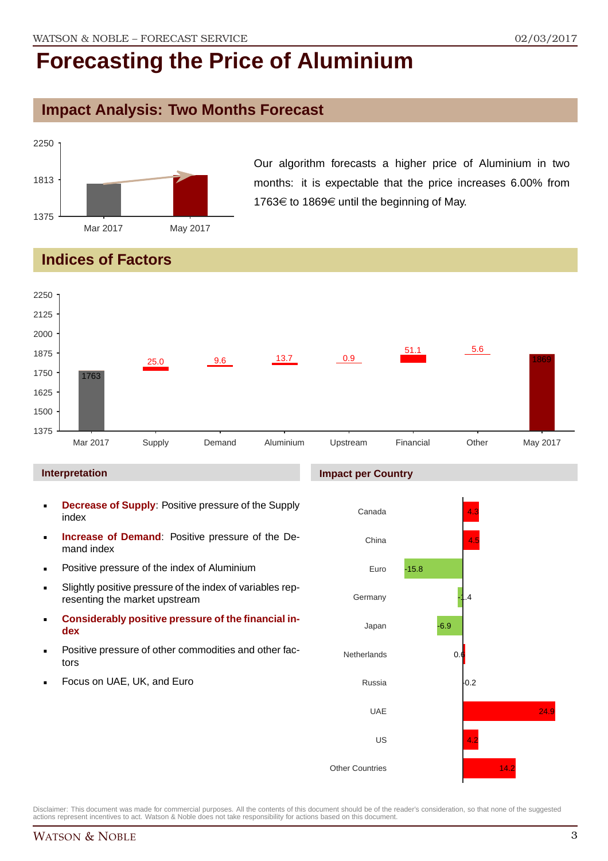### **Impact Analysis: Two Months Forecast**



Our algorithm forecasts a higher price of Aluminium in two months: it is expectable that the price increases 6.00% from 1763€ to 1869€ until the beginning of May.

### **Indices of Factors**



#### **Interpretation**

- **Decrease of Supply**: Positive pressure of the Supply index
- **Increase of Demand**: Positive pressure of the Demand index
- **Positive pressure of the index of Aluminium**
- Slightly positive pressure of the index of variables representing the market upstream
- **Considerably positive pressure of the financial index**
- **Positive pressure of other commodities and other fac**tors
- Focus on UAE, UK, and Euro

#### **Impact per Country**

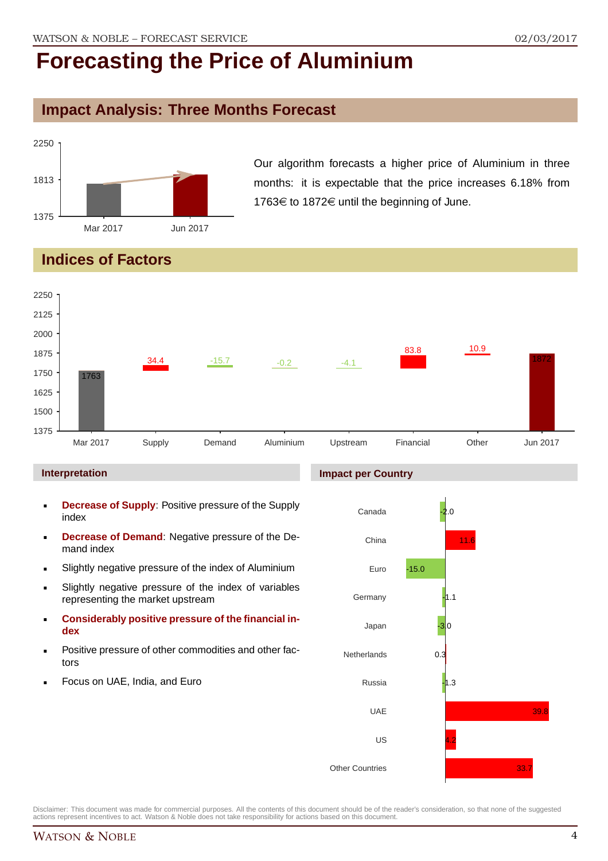## **Impact Analysis: Three Months Forecast**



Our algorithm forecasts a higher price of Aluminium in three months: it is expectable that the price increases 6.18% from 1763 $\in$  to 1872 $\in$  until the beginning of June.

### **Indices of Factors**



#### **Interpretation**

- **Decrease of Supply**: Positive pressure of the Supply index
- **Decrease of Demand**: Negative pressure of the Demand index
- Slightly negative pressure of the index of Aluminium
- Slightly negative pressure of the index of variables representing the market upstream
- **Considerably positive pressure of the financial index**
- **Positive pressure of other commodities and other fac**tors
- Focus on UAE, India, and Euro

#### **Impact per Country**

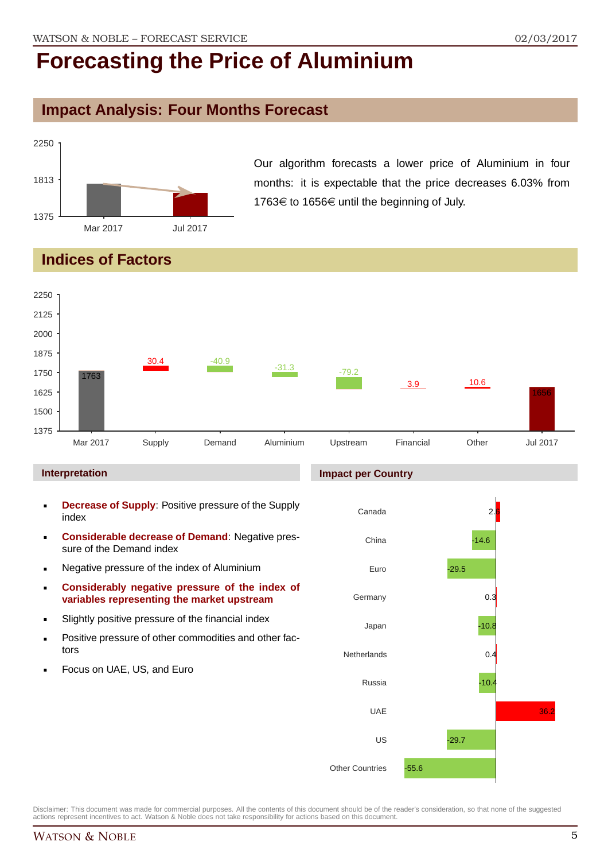### **Impact Analysis: Four Months Forecast**



Our algorithm forecasts a lower price of Aluminium in four months: it is expectable that the price decreases 6.03% from 1763€ to 1656€ until the beginning of July.

### **Indices of Factors**



#### **Interpretation**

- **Decrease of Supply**: Positive pressure of the Supply index
- **Considerable decrease of Demand**: Negative pressure of the Demand index
- Negative pressure of the index of Aluminium
- **Considerably negative pressure of the index of variables representing the market upstream**
- Slightly positive pressure of the financial index
- **Positive pressure of other commodities and other fac**tors
- Focus on UAE, US, and Euro

#### **Impact per Country**

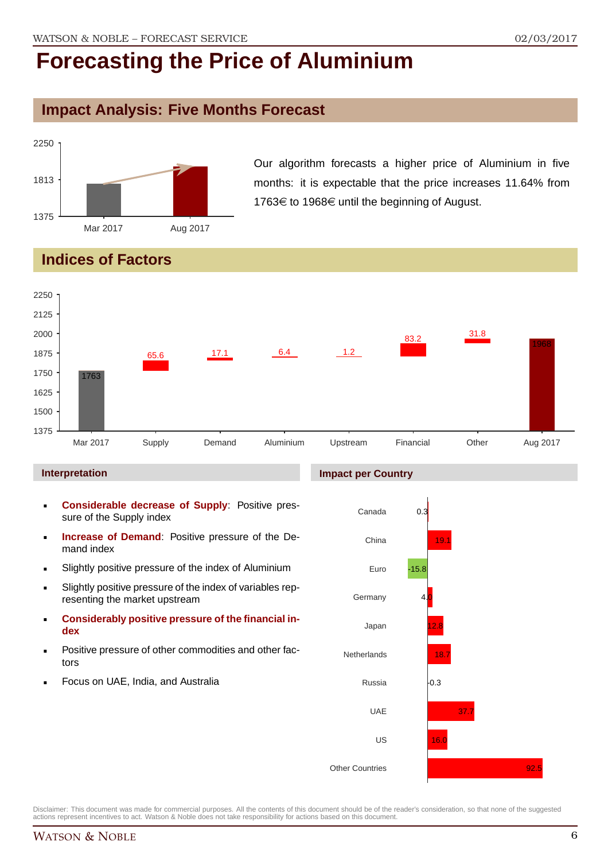### **Impact Analysis: Five Months Forecast**



Our algorithm forecasts a higher price of Aluminium in five months: it is expectable that the price increases 11.64% from 1763€ to 1968€ until the beginning of August.

### **Indices of Factors**



#### **Interpretation**

- **Considerable decrease of Supply**: Positive pressure of the Supply index
- **Increase of Demand**: Positive pressure of the Demand index
- Slightly positive pressure of the index of Aluminium
- Slightly positive pressure of the index of variables representing the market upstream
- **Considerably positive pressure of the financial index**
- Positive pressure of other commodities and other factors
- Focus on UAE, India, and Australia

#### **Impact per Country**



Disclaimer: This document was made for commercial purposes. All the contents of this document should be of the reader's consideration, so that none of the suggested actions represent incentives to act. Watson & Noble does not take responsibility for actions based on this document.

 $92.5$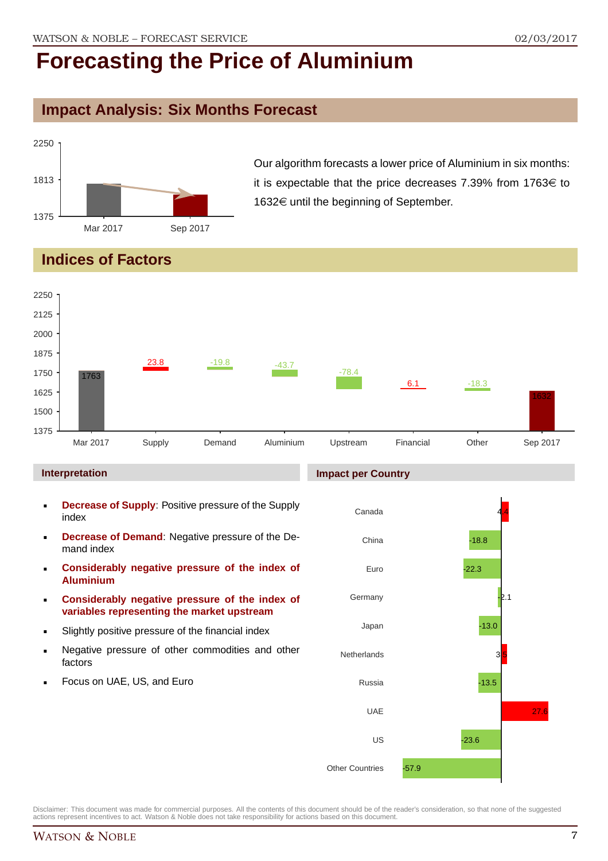### **Impact Analysis: Six Months Forecast**



Our algorithm forecasts a lower price of Aluminium in six months: it is expectable that the price decreases 7.39% from 1763 $\in$  to 1632€ until the beginning of September.

#### **Indices of Factors**



Disclaimer: This document was made for commercial purposes. All the contents of this document should be of the reader's consideration, so that none of the suggested actions represent incentives to act. Watson & Noble does not take responsibility for actions based on this document.

Other Countries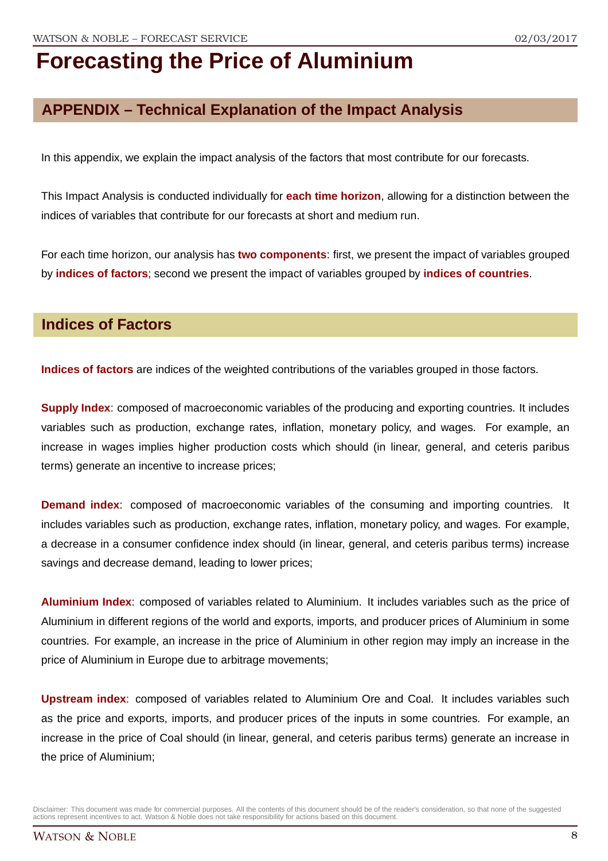## **APPENDIX – Technical Explanation of the Impact Analysis**

In this appendix, we explain the impact analysis of the factors that most contribute for our forecasts.

This Impact Analysis is conducted individually for **each time horizon**, allowing for a distinction between the indices of variables that contribute for our forecasts at short and medium run.

For each time horizon, our analysis has **two components**: first, we present the impact of variables grouped by **indices of factors**; second we present the impact of variables grouped by **indices of countries**.

#### **Indices of Factors**

**Indices of factors** are indices of the weighted contributions of the variables grouped in those factors.

**Supply Index**: composed of macroeconomic variables of the producing and exporting countries. It includes variables such as production, exchange rates, inflation, monetary policy, and wages. For example, an increase in wages implies higher production costs which should (in linear, general, and ceteris paribus terms) generate an incentive to increase prices;

**Demand index**: composed of macroeconomic variables of the consuming and importing countries. It includes variables such as production, exchange rates, inflation, monetary policy, and wages. For example, a decrease in a consumer confidence index should (in linear, general, and ceteris paribus terms) increase savings and decrease demand, leading to lower prices;

**Aluminium Index**: composed of variables related to Aluminium. It includes variables such as the price of Aluminium in different regions of the world and exports, imports, and producer prices of Aluminium in some countries. For example, an increase in the price of Aluminium in other region may imply an increase in the price of Aluminium in Europe due to arbitrage movements;

**Upstream index**: composed of variables related to Aluminium Ore and Coal. It includes variables such as the price and exports, imports, and producer prices of the inputs in some countries. For example, an increase in the price of Coal should (in linear, general, and ceteris paribus terms) generate an increase in the price of Aluminium;